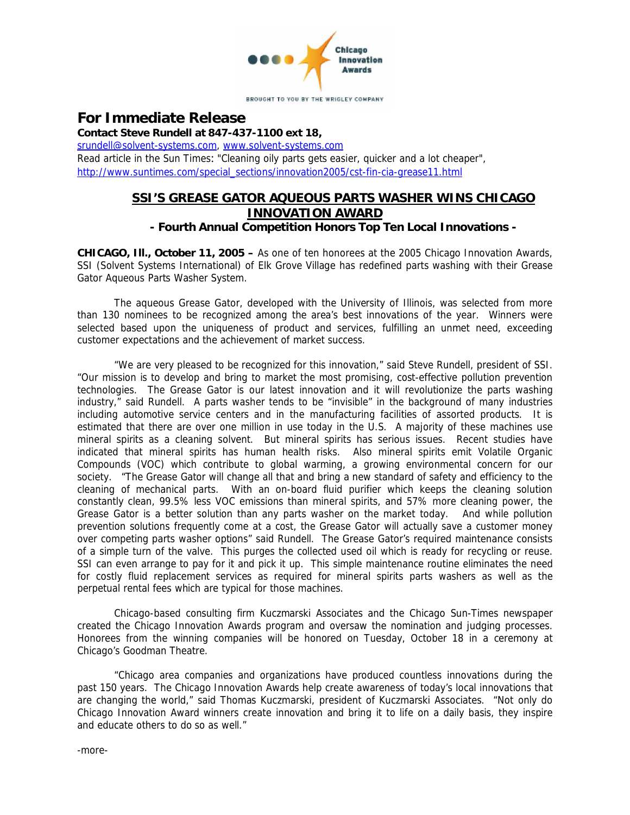

**For Immediate Release Contact Steve Rundell at 847-437-1100 ext 18,** [srundell@solvent-systems.com,](mailto:srundell@solvent-systems.com) [www.solvent-systems.com](http://www.solvent-systems.com) Read article in the Sun Times: "Cleaning oily parts gets easier, quicker and a lot cheaper", [http://www.suntimes.com/special\\_sections/innovation2005/cst-fin-cia-grease11.html](http://www.suntimes.com/special_sections/innovation2005/cst-fin-cia-grease11.html)

## **SSI'S GREASE GATOR AQUEOUS PARTS WASHER WINS CHICAGO INNOVATION AWARD**

**- Fourth Annual Competition Honors Top Ten Local Innovations -**

**CHICAGO, Ill., October 11, 2005 –** As one of ten honorees at the 2005 Chicago Innovation Awards, SSI (Solvent Systems International) of Elk Grove Village has redefined parts washing with their Grease Gator Aqueous Parts Washer System.

The aqueous Grease Gator, developed with the University of Illinois, was selected from more than 130 nominees to be recognized among the area's best innovations of the year. Winners were selected based upon the uniqueness of product and services, fulfilling an unmet need, exceeding customer expectations and the achievement of market success.

"We are very pleased to be recognized for this innovation," said Steve Rundell, president of SSI. "Our mission is to develop and bring to market the most promising, cost-effective pollution prevention technologies. The Grease Gator is our latest innovation and it will revolutionize the parts washing industry," said Rundell. A parts washer tends to be "invisible" in the background of many industries including automotive service centers and in the manufacturing facilities of assorted products. It is estimated that there are over one million in use today in the U.S. A majority of these machines use mineral spirits as a cleaning solvent. But mineral spirits has serious issues. Recent studies have indicated that mineral spirits has human health risks. Also mineral spirits emit Volatile Organic Compounds (VOC) which contribute to global warming, a growing environmental concern for our society. "The Grease Gator will change all that and bring a new standard of safety and efficiency to the cleaning of mechanical parts. With an on-board fluid purifier which keeps the cleaning solution constantly clean, 99.5% less VOC emissions than mineral spirits, and 57% more cleaning power, the Grease Gator is a better solution than any parts washer on the market today. And while pollution prevention solutions frequently come at a cost, the Grease Gator will actually save a customer money over competing parts washer options" said Rundell. The Grease Gator's required maintenance consists of a simple turn of the valve. This purges the collected used oil which is ready for recycling or reuse. SSI can even arrange to pay for it and pick it up. This simple maintenance routine eliminates the need for costly fluid replacement services as required for mineral spirits parts washers as well as the perpetual rental fees which are typical for those machines.

Chicago-based consulting firm Kuczmarski Associates and the Chicago Sun-Times newspaper created the Chicago Innovation Awards program and oversaw the nomination and judging processes. Honorees from the winning companies will be honored on Tuesday, October 18 in a ceremony at Chicago's Goodman Theatre.

"Chicago area companies and organizations have produced countless innovations during the past 150 years. The Chicago Innovation Awards help create awareness of today's local innovations that are changing the world," said Thomas Kuczmarski, president of Kuczmarski Associates. "Not only do Chicago Innovation Award winners create innovation and bring it to life on a daily basis, they inspire and educate others to do so as well."